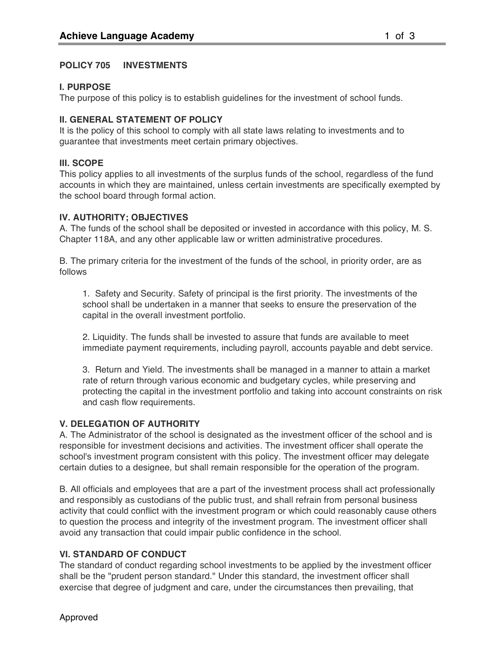## **POLICY 705 INVESTMENTS**

## **I. PURPOSE**

The purpose of this policy is to establish guidelines for the investment of school funds.

# **II. GENERAL STATEMENT OF POLICY**

It is the policy of this school to comply with all state laws relating to investments and to guarantee that investments meet certain primary objectives.

## **III. SCOPE**

This policy applies to all investments of the surplus funds of the school, regardless of the fund accounts in which they are maintained, unless certain investments are specifically exempted by the school board through formal action.

### **IV. AUTHORITY; OBJECTIVES**

A. The funds of the school shall be deposited or invested in accordance with this policy, M. S. Chapter 118A, and any other applicable law or written administrative procedures.

B. The primary criteria for the investment of the funds of the school, in priority order, are as follows

1. Safety and Security. Safety of principal is the first priority. The investments of the school shall be undertaken in a manner that seeks to ensure the preservation of the capital in the overall investment portfolio.

2. Liquidity. The funds shall be invested to assure that funds are available to meet immediate payment requirements, including payroll, accounts payable and debt service.

3. Return and Yield. The investments shall be managed in a manner to attain a market rate of return through various economic and budgetary cycles, while preserving and protecting the capital in the investment portfolio and taking into account constraints on risk and cash flow requirements.

### **V. DELEGATION OF AUTHORITY**

A. The Administrator of the school is designated as the investment officer of the school and is responsible for investment decisions and activities. The investment officer shall operate the school's investment program consistent with this policy. The investment officer may delegate certain duties to a designee, but shall remain responsible for the operation of the program.

B. All officials and employees that are a part of the investment process shall act professionally and responsibly as custodians of the public trust, and shall refrain from personal business activity that could conflict with the investment program or which could reasonably cause others to question the process and integrity of the investment program. The investment officer shall avoid any transaction that could impair public confidence in the school.

# **VI. STANDARD OF CONDUCT**

The standard of conduct regarding school investments to be applied by the investment officer shall be the "prudent person standard." Under this standard, the investment officer shall exercise that degree of judgment and care, under the circumstances then prevailing, that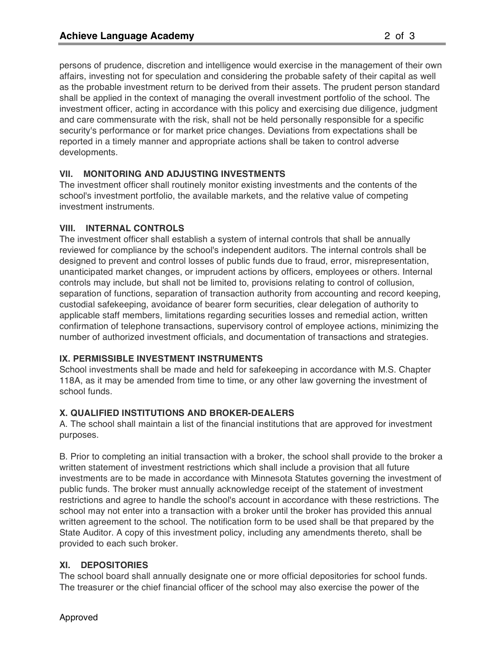persons of prudence, discretion and intelligence would exercise in the management of their own affairs, investing not for speculation and considering the probable safety of their capital as well as the probable investment return to be derived from their assets. The prudent person standard shall be applied in the context of managing the overall investment portfolio of the school. The investment officer, acting in accordance with this policy and exercising due diligence, judgment and care commensurate with the risk, shall not be held personally responsible for a specific security's performance or for market price changes. Deviations from expectations shall be reported in a timely manner and appropriate actions shall be taken to control adverse developments.

## **VII. MONITORING AND ADJUSTING INVESTMENTS**

The investment officer shall routinely monitor existing investments and the contents of the school's investment portfolio, the available markets, and the relative value of competing investment instruments.

## **VIII. INTERNAL CONTROLS**

The investment officer shall establish a system of internal controls that shall be annually reviewed for compliance by the school's independent auditors. The internal controls shall be designed to prevent and control losses of public funds due to fraud, error, misrepresentation, unanticipated market changes, or imprudent actions by officers, employees or others. Internal controls may include, but shall not be limited to, provisions relating to control of collusion, separation of functions, separation of transaction authority from accounting and record keeping, custodial safekeeping, avoidance of bearer form securities, clear delegation of authority to applicable staff members, limitations regarding securities losses and remedial action, written confirmation of telephone transactions, supervisory control of employee actions, minimizing the number of authorized investment officials, and documentation of transactions and strategies.

# **IX. PERMISSIBLE INVESTMENT INSTRUMENTS**

School investments shall be made and held for safekeeping in accordance with M.S. Chapter 118A, as it may be amended from time to time, or any other law governing the investment of school funds.

### **X. QUALIFIED INSTITUTIONS AND BROKER-DEALERS**

A. The school shall maintain a list of the financial institutions that are approved for investment purposes.

B. Prior to completing an initial transaction with a broker, the school shall provide to the broker a written statement of investment restrictions which shall include a provision that all future investments are to be made in accordance with Minnesota Statutes governing the investment of public funds. The broker must annually acknowledge receipt of the statement of investment restrictions and agree to handle the school's account in accordance with these restrictions. The school may not enter into a transaction with a broker until the broker has provided this annual written agreement to the school. The notification form to be used shall be that prepared by the State Auditor. A copy of this investment policy, including any amendments thereto, shall be provided to each such broker.

# **XI. DEPOSITORIES**

The school board shall annually designate one or more official depositories for school funds. The treasurer or the chief financial officer of the school may also exercise the power of the